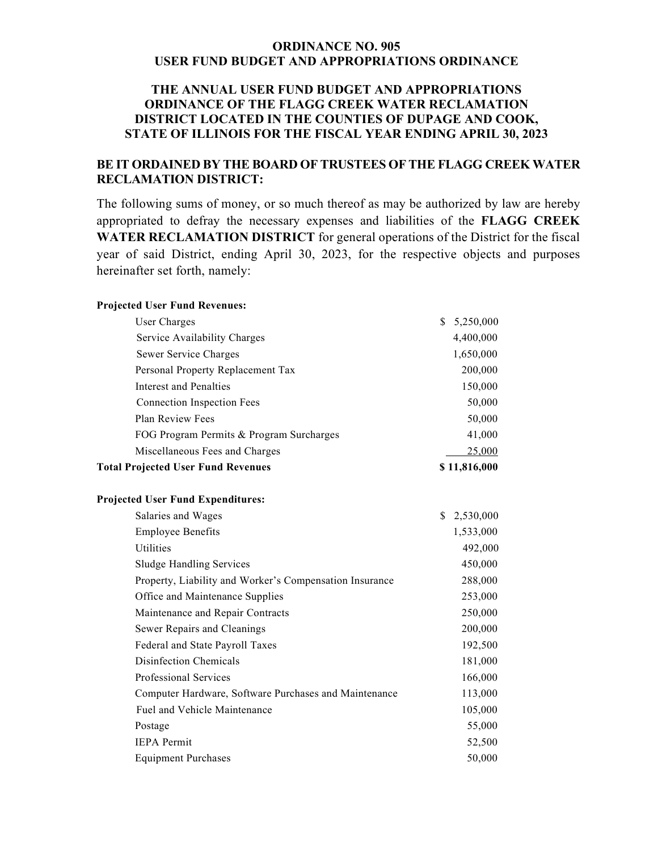## **ORDINANCE NO. 905 USER FUND BUDGET AND APPROPRIATIONS ORDINANCE**

## **THE ANNUAL USER FUND BUDGET AND APPROPRIATIONS ORDINANCE OF THE FLAGG CREEK WATER RECLAMATION DISTRICT LOCATED IN THE COUNTIES OF DUPAGE AND COOK, STATE OF ILLINOIS FOR THE FISCAL YEAR ENDING APRIL 30, 2023**

## **BE IT ORDAINED BY THE BOARD OF TRUSTEES OF THE FLAGG CREEK WATER RECLAMATION DISTRICT:**

The following sums of money, or so much thereof as may be authorized by law are hereby appropriated to defray the necessary expenses and liabilities of the **FLAGG CREEK WATER RECLAMATION DISTRICT** for general operations of the District for the fiscal year of said District, ending April 30, 2023, for the respective objects and purposes hereinafter set forth, namely:

| <b>Projected User Fund Revenues:</b>                    |                 |
|---------------------------------------------------------|-----------------|
| User Charges                                            | 5,250,000<br>\$ |
| Service Availability Charges                            | 4,400,000       |
| Sewer Service Charges                                   | 1,650,000       |
| Personal Property Replacement Tax                       | 200,000         |
| <b>Interest and Penalties</b>                           | 150,000         |
| <b>Connection Inspection Fees</b>                       | 50,000          |
| Plan Review Fees                                        | 50,000          |
| FOG Program Permits & Program Surcharges                | 41,000          |
| Miscellaneous Fees and Charges                          | 25,000          |
| <b>Total Projected User Fund Revenues</b>               | \$11,816,000    |
| <b>Projected User Fund Expenditures:</b>                |                 |
| Salaries and Wages                                      | 2,530,000<br>\$ |
| <b>Employee Benefits</b>                                | 1,533,000       |
| Utilities                                               | 492,000         |
| <b>Sludge Handling Services</b>                         | 450,000         |
| Property, Liability and Worker's Compensation Insurance | 288,000         |
| Office and Maintenance Supplies                         | 253,000         |
| Maintenance and Repair Contracts                        | 250,000         |
| Sewer Repairs and Cleanings                             | 200,000         |
| Federal and State Payroll Taxes                         | 192,500         |
| Disinfection Chemicals                                  | 181,000         |
| Professional Services                                   | 166,000         |
| Computer Hardware, Software Purchases and Maintenance   | 113,000         |
| Fuel and Vehicle Maintenance                            | 105,000         |
| Postage                                                 | 55,000          |
| <b>IEPA</b> Permit                                      | 52,500          |
| <b>Equipment Purchases</b>                              | 50,000          |